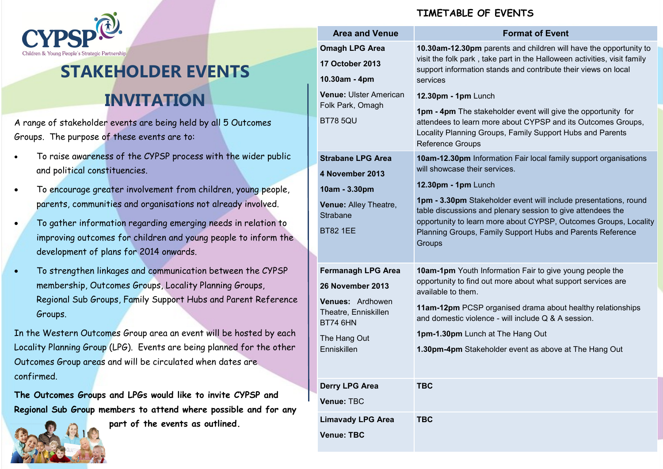

## **STAKEHOLDER EVENTS INVITATION**

A range of stakeholder events are being held by all 5 Outcomes Groups. The purpose of these events are to:

- To raise awareness of the CYPSP process with the wider public and political constituencies.
- To encourage greater involvement from children, young people, parents, communities and organisations not already involved.
- To gather information regarding emerging needs in relation to improving outcomes for children and young people to inform the development of plans for 2014 onwards.
- To strengthen linkages and communication between the CYPSP membership, Outcomes Groups, Locality Planning Groups, Regional Sub Groups, Family Support Hubs and Parent Reference Groups.

In the Western Outcomes Group area an event will be hosted by each Locality Planning Group (LPG). Events are being planned for the other Outcomes Group areas and will be circulated when dates are confirmed.

**The Outcomes Groups and LPGs would like to invite CYPSP and Regional Sub Group members to attend where possible and for any** 



**part of the events as outlined.**

## **TIMETABLE OF EVENTS**

|  | <b>Area and Venue</b>                                                | <b>Format of Event</b>                                                                                                                                                                                                                |
|--|----------------------------------------------------------------------|---------------------------------------------------------------------------------------------------------------------------------------------------------------------------------------------------------------------------------------|
|  | <b>Omagh LPG Area</b><br><b>17 October 2013</b><br>10.30am - 4pm     | 10.30am-12.30pm parents and children will have the opportunity to<br>visit the folk park, take part in the Halloween activities, visit family<br>support information stands and contribute their views on local<br>services           |
|  | <b>Venue: Ulster American</b><br>Folk Park, Omagh<br><b>BT78 5QU</b> | 12.30pm - 1pm Lunch<br>1pm - 4pm The stakeholder event will give the opportunity for<br>attendees to learn more about CYPSP and its Outcomes Groups,<br>Locality Planning Groups, Family Support Hubs and Parents<br>Reference Groups |
|  | <b>Strabane LPG Area</b>                                             | 10am-12.30pm Information Fair local family support organisations                                                                                                                                                                      |
|  | 4 November 2013                                                      | will showcase their services.                                                                                                                                                                                                         |
|  | 10am - 3.30pm                                                        | 12.30pm - 1pm Lunch                                                                                                                                                                                                                   |
|  | Venue: Alley Theatre,<br><b>Strabane</b>                             | 1pm - 3.30pm Stakeholder event will include presentations, round<br>table discussions and plenary session to give attendees the<br>opportunity to learn more about CYPSP, Outcomes Groups, Locality                                   |
|  | <b>BT82 1EE</b>                                                      | Planning Groups, Family Support Hubs and Parents Reference<br>Groups                                                                                                                                                                  |
|  | <b>Fermanagh LPG Area</b>                                            | <b>10am-1pm</b> Youth Information Fair to give young people the                                                                                                                                                                       |
|  | 26 November 2013                                                     | opportunity to find out more about what support services are<br>available to them.                                                                                                                                                    |
|  | Venues: Ardhowen<br>Theatre, Enniskillen<br><b>BT74 6HN</b>          | 11am-12pm PCSP organised drama about healthy relationships<br>and domestic violence - will include Q & A session.                                                                                                                     |
|  | The Hang Out                                                         | 1pm-1.30pm Lunch at The Hang Out                                                                                                                                                                                                      |
|  | Enniskillen                                                          | 1.30pm-4pm Stakeholder event as above at The Hang Out                                                                                                                                                                                 |
|  | <b>Derry LPG Area</b>                                                | <b>TBC</b>                                                                                                                                                                                                                            |
|  | Venue: TBC                                                           |                                                                                                                                                                                                                                       |
|  | <b>Limavady LPG Area</b>                                             | <b>TBC</b>                                                                                                                                                                                                                            |
|  | <b>Venue: TBC</b>                                                    |                                                                                                                                                                                                                                       |